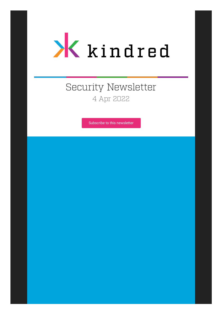

# Security Newsletter 4 Apr 2022

[Subscribe to this newsletter](https://news.infosecgur.us/register)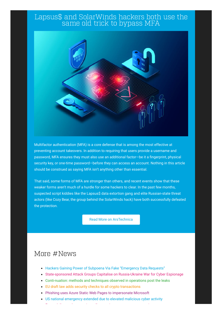#### Lapsus\$ and SolarWinds hackers both use the same old trick to bypass MFA



Multifactor authentication (MFA) is a core defense that is among the most effective at preventing account takeovers. In addition to requiring that users provide a username and password, MFA ensures they must also use an additional factor—be it a fingerprint, physical security key, or one-time password—before they can access an account. Nothing in this article should be construed as saying MFA isn't anything other than essential.

That said, some forms of MFA are stronger than others, and recent events show that these weaker forms aren't much of a hurdle for some hackers to clear. In the past few months, suspected script kiddies like the Lapsus\$ data extortion gang and elite Russian-state threat actors (like Cozy Bear, the group behind the SolarWinds hack) have both successfully defeated the protection.

[Read More on ArsTechnica](https://arstechnica.com/information-technology/2022/03/lapsus-and-solar-winds-hackers-both-use-the-same-old-trick-to-bypass-mfa/)

# More #News

- [Hackers Gaining Power of Subpoena Via Fake "Emergency Data Requests"](https://krebsonsecurity.com/2022/03/hackers-gaining-power-of-subpoena-via-fake-emergency-data-requests/)
- [State-sponsored Attack Groups Capitalise on Russia-Ukraine War for Cyber Espionage](https://research.checkpoint.com/2022/state-sponsored-attack-groups-capitalise-on-russia-ukraine-war-for-cyber-espionage/)
- [Conti-nuation: methods and techniques observed in operations post the leaks](https://research.nccgroup.com/2022/03/31/conti-nuation-methods-and-techniques-observed-in-operations-post-the-leaks/)
- [EU draft law adds security checks to all crypto transactions](https://www.bleepingcomputer.com/news/legal/eu-draft-law-adds-security-checks-to-all-crypto-transactions/)
- [Phishing uses Azure Static Web Pages to impersonate Microsoft](https://www.bleepingcomputer.com/news/microsoft/phishing-uses-azure-static-web-pages-to-impersonate-microsoft/)

E l'antico del control del control del control del control del control del control del control del control de<br>En 1930, la internacia del control del control del control del control del control del control del control de

[US national emergency extended due to elevated malicious cyber activity](https://www.bleepingcomputer.com/news/security/us-national-emergency-extended-due-to-elevated-malicious-cyber-activity/)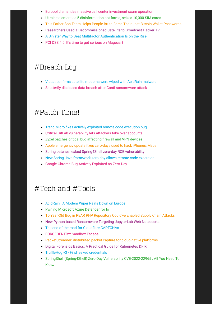- [Europol dismantles massive call center investment scam operation](https://www.bleepingcomputer.com/news/security/europol-dismantles-massive-call-center-investment-scam-operation/)
- [Ukraine dismantles 5 disinformation bot farms, seizes 10,000 SIM cards](https://www.bleepingcomputer.com/news/security/ukraine-dismantles-5-disinformation-bot-farms-seizes-10-000-sim-cards/)
- [This Father-Son Team Helps People Brute-Force Their Lost Bitcoin Wallet Passwords](https://www.vice.com/en/article/5dga75/this-father-son-team-helps-people-brute-force-their-lost-bitcoin-wallet-passwords)
- [Researchers Used a Decommissioned Satellite to Broadcast Hacker TV](https://www.wired.com/story/satellite-hacking-anit-f1r-shadytel/)
- [A Sinister Way to Beat Multifactor Authentication Is on the Rise](https://www.wired.com/story/multifactor-authentication-prompt-bombing-on-the-rise/)
- [PCI DSS 4.0; It's time to get serious on Magecart](https://scotthelme.co.uk/pci-dss-4-0-its-time-to-get-serious-on-magecart/)

### #Breach Log

- [Viasat confirms satellite modems were wiped with AcidRain malware](https://www.bleepingcomputer.com/news/security/viasat-confirms-satellite-modems-were-wiped-with-acidrain-malware/)
- [Shutterfly discloses data breach after Conti ransomware attack](https://www.bleepingcomputer.com/news/security/shutterfly-discloses-data-breach-after-conti-ransomware-attack/)

# #Patch Time!

- [Trend Micro fixes actively exploited remote code execution bug](https://www.bleepingcomputer.com/news/security/trend-micro-fixes-actively-exploited-remote-code-execution-bug/)
- [Critical GitLab vulnerability lets attackers take over accounts](https://www.bleepingcomputer.com/news/security/critical-gitlab-vulnerability-lets-attackers-take-over-accounts/)
- [Zyxel patches critical bug affecting firewall and VPN devices](https://www.bleepingcomputer.com/news/security/zyxel-patches-critical-bug-affecting-firewall-and-vpn-devices/)
- [Apple emergency update fixes zero-days used to hack iPhones, Macs](https://www.bleepingcomputer.com/news/security/apple-emergency-update-fixes-zero-days-used-to-hack-iphones-macs/)
- [Spring patches leaked Spring4Shell zero-day RCE vulnerability](https://www.bleepingcomputer.com/news/security/spring-patches-leaked-spring4shell-zero-day-rce-vulnerability/)
- [New Spring Java framework zero-day allows remote code execution](https://www.bleepingcomputer.com/news/security/new-spring-java-framework-zero-day-allows-remote-code-execution/)
- [Google Chrome Bug Actively Exploited as Zero-Day](https://threatpost.com/google-chrome-bug-actively-exploited-zero-day/179161/)

# #Tech and #Tools

- [AcidRain | A Modem Wiper Rains Down on Europe](https://www.sentinelone.com/labs/acidrain-a-modem-wiper-rains-down-on-europe/)
- [Pwning Microsoft Azure Defender for IoT](https://www.sentinelone.com/labs/pwning-microsoft-azure-defender-for-iot-multiple-flaws-allow-remote-code-execution-for-all/)
- [15-Year-Old Bug in PEAR PHP Repository Could've Enabled Supply Chain Attacks](https://thehackernews.com/2022/04/15-year-old-bug-in-pear-php-repository.html)
- [New Python-based Ransomware Targeting JupyterLab Web Notebooks](https://thehackernews.com/2022/03/new-python-based-ransomware-targeting.html)
- [The end of the road for Cloudflare CAPTCHAs](https://blog.cloudflare.com/end-cloudflare-captcha/)
- **[FORCEDENTRY: Sandbox Escape](https://googleprojectzero.blogspot.com/2022/03/forcedentry-sandbox-escape.html)**
- [PacketStreamer: distributed packet capture for cloud-native platforms](https://github.com/deepfence/PacketStreamer)
- [Digital Forensics Basics: A Practical Guide for Kubernetes DFIR](https://sysdig.com/blog/guide-kubernetes-forensics-dfir/)
- [TruffleHog v3 Find leaked credentials](https://trufflesecurity.com/blog/introducing-trufflehog-v3)
- [SpringShell \(Spring4Shell\) Zero-Day Vulnerability CVE-2022-22965 : All You Need To](https://jfrog.com/blog/springshell-zero-day-vulnerability-all-you-need-to-know/) Know